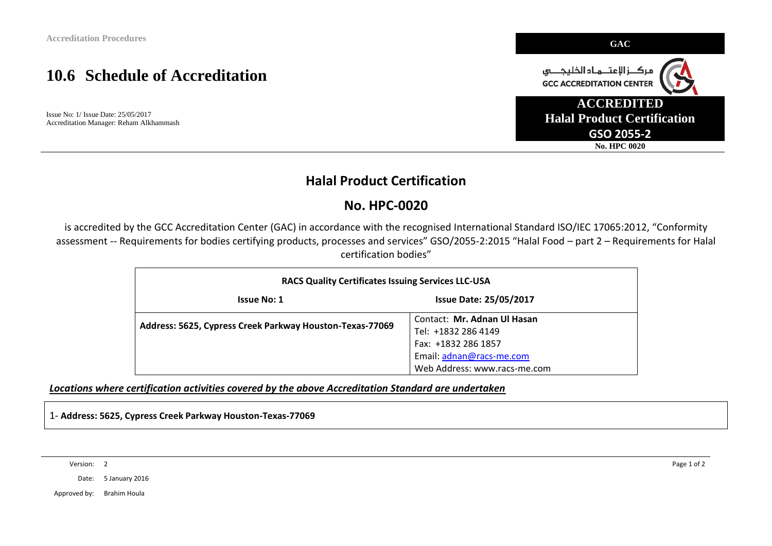# **10.6 Schedule of Accreditation**

Issue No: 1/ Issue Date: 25/05/2017 Accreditation Manager: Reham Alkhammash



### **Halal Product Certification**

### **No. HPC-0020**

is accredited by the GCC Accreditation Center (GAC) in accordance with the recognised International Standard ISO/IEC 17065:2012, "Conformity assessment -- Requirements for bodies certifying products, processes and services" GSO/2055-2:2015 "Halal Food – part 2 – Requirements for Halal certification bodies"

| <b>RACS Quality Certificates Issuing Services LLC-USA</b> |                               |  |  |  |  |
|-----------------------------------------------------------|-------------------------------|--|--|--|--|
| <b>Issue No: 1</b>                                        | <b>Issue Date: 25/05/2017</b> |  |  |  |  |
| Address: 5625, Cypress Creek Parkway Houston-Texas-77069  | Contact: Mr. Adnan Ul Hasan   |  |  |  |  |
|                                                           | Tel: +1832 286 4149           |  |  |  |  |
|                                                           | Fax: +1832 286 1857           |  |  |  |  |
|                                                           | Email: adnan@racs-me.com      |  |  |  |  |
|                                                           | Web Address: www.racs-me.com  |  |  |  |  |

*Locations where certification activities covered by the above Accreditation Standard are undertaken*

1- **Address: 5625, Cypress Creek Parkway Houston-Texas-77069**

Version: 2 Page 1 of 2

Date: 5 January 2016

Approved by: Brahim Houla